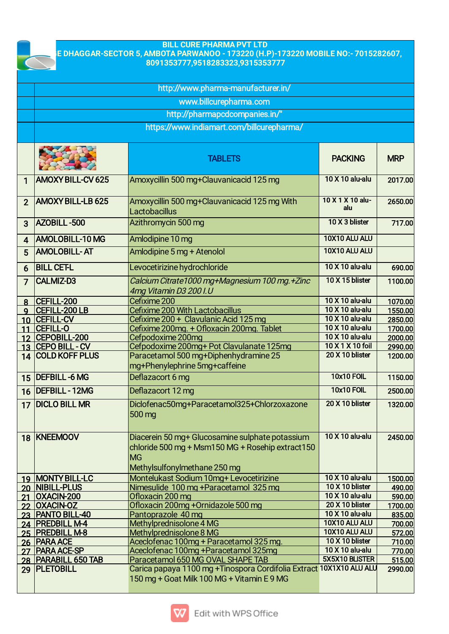

## **BILL CURE PHARMA PVT LTD VILLAGE DHAGGAR-SECTOR 5, AMBOTA PARWANOO - 173220 (H.P)-173220 MOBILE NO:- 7015282607, 8091353777,9518283323,9315353777**

|                |                                           | http://www.pharma-manufacturer.in/                                                                                                        |                                     |                  |
|----------------|-------------------------------------------|-------------------------------------------------------------------------------------------------------------------------------------------|-------------------------------------|------------------|
|                |                                           | www.billcurepharma.com                                                                                                                    |                                     |                  |
|                |                                           | http://pharmapcdcompanies.in/"                                                                                                            |                                     |                  |
|                | https://www.indiamart.com/billcurepharma/ |                                                                                                                                           |                                     |                  |
|                |                                           | <b>TABLETS</b>                                                                                                                            | <b>PACKING</b>                      | <b>MRP</b>       |
| 1              | <b>AMOXY BILL-CV 625</b>                  | Amoxycillin 500 mg+Clauvanicacid 125 mg                                                                                                   | 10 X 10 alu-alu                     | 2017.00          |
| $\overline{2}$ | <b>AMOXY BILL-LB 625</b>                  | Amoxycillin 500 mg+Clauvanicacid 125 mg With<br>Lactobacillus                                                                             | 10 X 1 X 10 alu-<br>alu             | 2650.00          |
| 3              | <b>AZOBILL-500</b>                        | Azithromycin 500 mg                                                                                                                       | 10 X 3 blister                      | 717.00           |
| 4              | <b>AMOLOBILL-10 MG</b>                    | Amlodipine 10 mg                                                                                                                          | 10X10 ALU ALU                       |                  |
| 5              | <b>AMOLOBILL-AT</b>                       | Amlodipine 5 mg + Atenolol                                                                                                                | 10X10 ALU ALU                       |                  |
| 6              | <b>BILL CET-L</b>                         | Levocetirizine hydrochloride                                                                                                              | 10 X 10 alu-alu                     | 690.00           |
| $\overline{7}$ | <b>CALMIZ-D3</b>                          | Calcium Citrate1000 mg+Magnesium 100 mg.+Zinc<br>4mg Vitamin D3 200 I.U                                                                   | 10 X 15 blister                     | 1100.00          |
| 8              | CEFILL-200                                | Cefixime 200                                                                                                                              | 10 X 10 alu-alu                     | 1070.00          |
| Q              | <b>CEFILL-200 LB</b>                      | Cefixime 200 With Lactobacillus                                                                                                           | 10 X 10 alu-alu                     | 1550.00          |
|                | 10 CEFILL-CV                              | Cefixime 200 + Clavulanic Acid 125 mg                                                                                                     | 10 X 10 alu-alu                     | 2850.00          |
| 11             | <b>CEFILL-O</b>                           | Cefixime 200mg. + Ofloxacin 200mg. Tablet                                                                                                 | 10 X 10 alu-alu                     | 1700.00          |
|                | 12 CEPOBILL-200                           | Cefpodoxime 200mg                                                                                                                         | 10 X 10 alu-alu<br>10 X 1 X 10 foil | 2000.00          |
|                | 13 CEPO BILL - CV<br>14 COLD KOFF PLUS    | Cefpodoxime 200mg+ Pot Clavulanate 125mg                                                                                                  | 20 X 10 blister                     | 2990.00          |
|                |                                           | Paracetamol 500 mg+Diphenhydramine 25<br>mg+Phenylephrine 5mg+caffeine                                                                    |                                     | 1200.00          |
|                | 15 DEFBILL-6 MG                           | Deflazacort 6 mg                                                                                                                          | <b>10x10 FOIL</b>                   | 1150.00          |
| 16             | <b>DEFBILL - 12MG</b>                     | Deflazacort 12 mg                                                                                                                         | <b>10x10 FOIL</b>                   | 2500.00          |
| 17             | <b>DICLO BILL MR</b>                      | Diclofenac50mg+Paracetamol325+Chlorzoxazone<br>500 mg                                                                                     | 20 X 10 blister                     | 1320.00          |
|                | 18 KNEEMOOV                               | Diacerein 50 mg+ Glucosamine sulphate potassium<br>chloride 500 mg + Msm150 MG + Rosehip extract150<br>MG<br>Methylsulfonylmethane 250 mg | 10 X 10 alu-alu                     | 2450.00          |
|                | 19 MONTY BILL-LC                          | Montelukast Sodium 10mg+ Levocetirizine                                                                                                   | 10 X 10 alu-alu                     | 1500.00          |
|                | 20 NIBILL-PLUS                            | Nimesulide 100 mg + Paracetamol 325 mg                                                                                                    | 10 X 10 blister                     | 490.00           |
|                | 21 OXACIN-200                             | Ofloxacin 200 mg                                                                                                                          | 10 X 10 alu-alu                     | 590.00           |
|                | 22 OXACIN-OZ                              | Ofloxacin 200mg + Ornidazole 500 mg                                                                                                       | 20 X 10 blister<br>10 X 10 alu-alu  | 1700.00          |
|                | 23 PANTO BILL-40<br>24 PREDBILL M-4       | Pantoprazole 40 mg                                                                                                                        | 10X10 ALU ALU                       | 835.00           |
|                | 25 PREDBILL M-8                           | Methylprednisolone 4 MG<br>Methylprednisolone 8 MG                                                                                        | 10X10 ALU ALU                       | 700.00<br>572.00 |
|                | 26 PARA ACE                               | Aceclofenac 100mg + Paracetamol 325 mg.                                                                                                   | 10 X 10 blister                     | 710.00           |
|                | 27 PARA ACE-SP                            | Aceclofenac 100mg +Paracetamol 325mg                                                                                                      | 10 X 10 alu-alu                     | 770.00           |
|                | 28   PARABILL 650 TAB                     | Paracetamol 650 MG OVAL SHAPE TAB                                                                                                         | 5X5X10 BLISTER                      | 515.00           |
|                | 29 PLETOBILL                              | Carica papaya 1100 mg + Tinospora Cordifolia Extract 10X1X10 ALU ALU                                                                      |                                     | 2990.00          |
|                |                                           | 150 mg + Goat Milk 100 MG + Vitamin E 9 MG                                                                                                |                                     |                  |

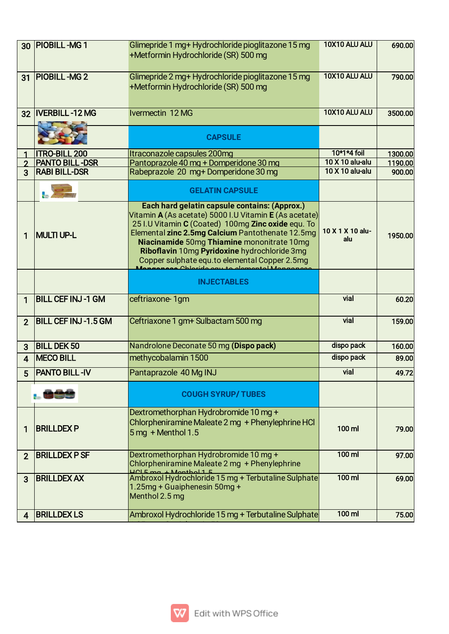|                         | 30 PIOBILL-MG 1            | Glimepride 1 mg+ Hydrochloride pioglitazone 15 mg<br>+Metformin Hydrochloride (SR) 500 mg                                                                                                                                                                                                                                                                                                                 | 10X10 ALU ALU           | 690.00  |
|-------------------------|----------------------------|-----------------------------------------------------------------------------------------------------------------------------------------------------------------------------------------------------------------------------------------------------------------------------------------------------------------------------------------------------------------------------------------------------------|-------------------------|---------|
| 31                      | <b>PIOBILL-MG2</b>         | Glimepride 2 mg+ Hydrochloride pioglitazone 15 mg<br>+Metformin Hydrochloride (SR) 500 mg                                                                                                                                                                                                                                                                                                                 | 10X10 ALU ALU           | 790.00  |
| 32                      | <b>IVERBILL-12 MG</b>      | Ivermectin 12 MG                                                                                                                                                                                                                                                                                                                                                                                          | 10X10 ALU ALU           | 3500.00 |
|                         |                            | <b>CAPSULE</b>                                                                                                                                                                                                                                                                                                                                                                                            |                         |         |
|                         | <b>ITRO-BILL 200</b>       | Itraconazole capsules 200mg                                                                                                                                                                                                                                                                                                                                                                               | 10*1*4 foil             | 1300.00 |
| $\mathbf{\Omega}$       | <b>PANTO BILL-DSR</b>      | Pantoprazole 40 mg + Domperidone 30 mg                                                                                                                                                                                                                                                                                                                                                                    | 10 X 10 alu-alu         | 1190.00 |
| $\overline{3}$          | <b>RABI BILL-DSR</b>       | Rabeprazole 20 mg+Domperidone 30 mg                                                                                                                                                                                                                                                                                                                                                                       | 10 X 10 alu-alu         | 900.00  |
|                         |                            | <b>GELATIN CAPSULE</b>                                                                                                                                                                                                                                                                                                                                                                                    |                         |         |
| 1                       | <b>MULTI UP-L</b>          | Each hard gelatin capsule contains: (Approx.)<br>Vitamin A (As acetate) 5000 I.U Vitamin E (As acetate)<br>25 I.U Vitamin C (Coated) 100mg Zinc oxide equ. To<br>Elemental zinc 2.5mg Calcium Pantothenate 12.5mg<br>Niacinamide 50mg Thiamine mononitrate 10mg<br>Riboflavin 10mg Pyridoxine hydrochloride 3mg<br>Copper sulphate equ.to elemental Copper 2.5mg<br>Angenese Chlorido ogu to alemental Ma | 10 X 1 X 10 alu-<br>alu | 1950.00 |
|                         |                            | <b>INJECTABLES</b>                                                                                                                                                                                                                                                                                                                                                                                        |                         |         |
| 1                       | <b>BILL CEF INJ-1 GM</b>   | ceftriaxone 1gm                                                                                                                                                                                                                                                                                                                                                                                           | vial                    | 60.20   |
| $\overline{2}$          | <b>BILL CEF INJ-1.5 GM</b> | Ceftriaxone 1 gm+ Sulbactam 500 mg                                                                                                                                                                                                                                                                                                                                                                        | vial                    | 159.00  |
| 3                       | <b>BILL DEK 50</b>         | Nandrolone Deconate 50 mg (Dispo pack)                                                                                                                                                                                                                                                                                                                                                                    | dispo pack              | 160.00  |
| $\overline{\mathbf{A}}$ | <b>MECO BILL</b>           | methycobalamin 1500                                                                                                                                                                                                                                                                                                                                                                                       | dispo pack              | 89.00   |
| 5                       | <b>PANTO BILL-IV</b>       | Pantaprazole 40 Mg INJ                                                                                                                                                                                                                                                                                                                                                                                    | vial                    | 49.72   |
|                         |                            | <b>COUGH SYRUP/TUBES</b>                                                                                                                                                                                                                                                                                                                                                                                  |                         |         |
| 1                       | <b>BRILLDEX P</b>          | Dextromethorphan Hydrobromide 10 mg +<br>Chlorpheniramine Maleate 2 mg + Phenylephrine HCl<br>$5 \,\mathrm{mg}$ + Menthol 1.5                                                                                                                                                                                                                                                                             | 100 ml                  | 79.00   |
| $\overline{2}$          | <b>BRILLDEX PSF</b>        | Dextromethorphan Hydrobromide 10 mg +<br>Chlorpheniramine Maleate 2 mg + Phenylephrine<br>HOLEmatA                                                                                                                                                                                                                                                                                                        | $100$ ml                | 97.00   |
| 3                       | <b>BRILLDEX AX</b>         | Ambroxol Hydrochloride 15 mg + Terbutaline Sulphate<br>1.25mg + Guaiphenesin 50mg +<br>Menthol 2.5 mg                                                                                                                                                                                                                                                                                                     | $100$ ml                | 69.00   |
|                         |                            | Ambroxol Hydrochloride 15 mg + Terbutaline Sulphate                                                                                                                                                                                                                                                                                                                                                       | $100$ ml                | 75.00   |

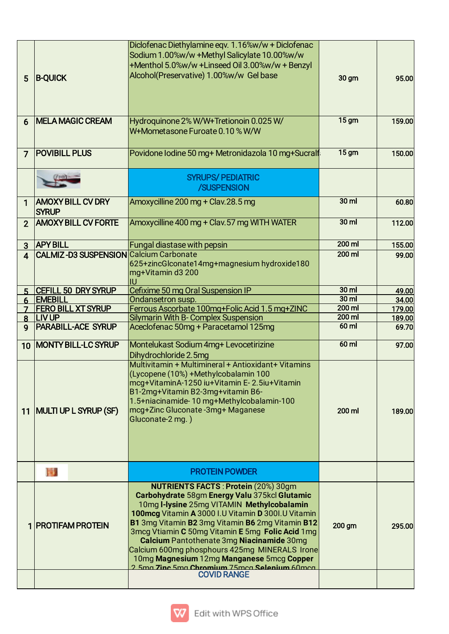| 5              | <b>B-QUICK</b>                                | Diclofenac Diethylamine eqv. 1.16%w/w + Diclofenac<br>Sodium 1.00%w/w +Methyl Salicylate 10.00%w/w<br>+Menthol 5.0%w/w +Linseed Oil 3.00%w/w + Benzyl<br>Alcohol(Preservative) 1.00%w/w Gel base                                                                                                                                                                                                                                                                                                                                                     | 30 gm             | 95.00  |
|----------------|-----------------------------------------------|------------------------------------------------------------------------------------------------------------------------------------------------------------------------------------------------------------------------------------------------------------------------------------------------------------------------------------------------------------------------------------------------------------------------------------------------------------------------------------------------------------------------------------------------------|-------------------|--------|
| 6              | <b>MELA MAGIC CREAM</b>                       | Hydroquinone 2% W/W+Tretionoin 0.025 W/<br>W+Mometasone Furoate 0.10 % W/W                                                                                                                                                                                                                                                                                                                                                                                                                                                                           | 15 <sub>gm</sub>  | 159.00 |
| $\overline{7}$ | <b>POVIBILL PLUS</b>                          | Povidone Iodine 50 mg+ Metronidazola 10 mg+Sucralf                                                                                                                                                                                                                                                                                                                                                                                                                                                                                                   | 15 <sub>gm</sub>  | 150.00 |
|                |                                               | <b>SYRUPS/PEDIATRIC</b><br>/SUSPENSION                                                                                                                                                                                                                                                                                                                                                                                                                                                                                                               |                   |        |
| 1              | <b>AMOXY BILL CV DRY</b><br><b>SYRUP</b>      | Amoxycilline 200 mg + Clav.28.5 mg                                                                                                                                                                                                                                                                                                                                                                                                                                                                                                                   | $30$ ml           | 60.80  |
| $\overline{2}$ | <b>AMOXY BILL CV FORTE</b>                    | Amoxycilline 400 mg + Clav. 57 mg WITH WATER                                                                                                                                                                                                                                                                                                                                                                                                                                                                                                         | $30$ ml           | 112.00 |
| 3              | <b>APY BILL</b>                               | <b>Fungal diastase with pepsin</b>                                                                                                                                                                                                                                                                                                                                                                                                                                                                                                                   | $200$ ml          | 155.00 |
| 4              | <b>CALMIZ-D3 SUSPENSION Calcium Carbonate</b> | 625+zincGlconate14mg+magnesium hydroxide180<br>mg+Vitamin d3 200<br>lU                                                                                                                                                                                                                                                                                                                                                                                                                                                                               | $200$ ml          | 99.00  |
| 5              | <b>CEFILL 50 DRY SYRUP</b>                    | Cefixime 50 mg Oral Suspension IP                                                                                                                                                                                                                                                                                                                                                                                                                                                                                                                    | 30 <sub>m</sub>   | 49.00  |
| 6              | <b>EMEBILL</b>                                | Ondansetron susp.                                                                                                                                                                                                                                                                                                                                                                                                                                                                                                                                    | $30 \, \text{ml}$ | 34.00  |
|                | <b>FERO BILL XT SYRUP</b>                     | Ferrous Ascorbate 100mg+Folic Acid 1.5 mg+ZINC                                                                                                                                                                                                                                                                                                                                                                                                                                                                                                       | $200$ ml          | 179.00 |
|                | 8 LIVUP                                       | <b>Silymarin With B- Complex Suspension</b>                                                                                                                                                                                                                                                                                                                                                                                                                                                                                                          | $200$ ml          | 189.00 |
| $\mathbf{Q}$   | <b>PARABILL-ACE SYRUP</b>                     | Aceclofenac 50mg + Paracetamol 125mg                                                                                                                                                                                                                                                                                                                                                                                                                                                                                                                 | $60$ ml           | 69.70  |
| 10             | <b>MONTY BILL-LC SYRUP</b>                    | Montelukast Sodium 4mg+ Levocetirizine<br>Dihydrochloride 2.5mg                                                                                                                                                                                                                                                                                                                                                                                                                                                                                      | $60$ ml           | 97.00  |
|                |                                               | Multivitamin + Multimineral + Antioxidant+ Vitamins<br>(Lycopene (10%) +Methylcobalamin 100<br>mcg+VitaminA-1250 iu+Vitamin E-2.5iu+Vitamin<br>B1-2mg+Vitamin B2-3mg+vitamin B6-<br>1.5+niacinamide-10 mg+Methylcobalamin-100                                                                                                                                                                                                                                                                                                                        |                   |        |
|                | 11   MULTI UP L SYRUP (SF)                    | mcg+Zinc Gluconate-3mg+ Maganese<br>Gluconate-2 mg.)                                                                                                                                                                                                                                                                                                                                                                                                                                                                                                 | 200 ml            | 189.00 |
|                | 圈.                                            | <b>PROTEIN POWDER</b>                                                                                                                                                                                                                                                                                                                                                                                                                                                                                                                                |                   |        |
|                | 1   PROTIFAM PROTEIN                          | <b>NUTRIENTS FACTS: Protein (20%) 30gm</b><br>Carbohydrate 58gm Energy Valu 375kcl Glutamic<br>10mg I-lysine 25mg VITAMIN Methylcobalamin<br>100mcg Vitamin A 3000 I.U Vitamin D 300I.U Vitamin<br><b>B1</b> 3mg Vitamin <b>B2</b> 3mg Vitamin <b>B6</b> 2mg Vitamin <b>B12</b><br>3mcg Vtiamin C 50mg Vitamin E 5mg Folic Acid 1mg<br>Calcium Pantothenate 3mg Niacinamide 30mg<br>Calcium 600mg phosphours 425mg MINERALS Irone<br>10mg Magnesium 12mg Manganese 5mcg Copper<br>2 5mg 7ing 5mg Chromium 75mgg Selenium 60mgg<br><b>COVID RANGE</b> | 200 gm            | 295.00 |